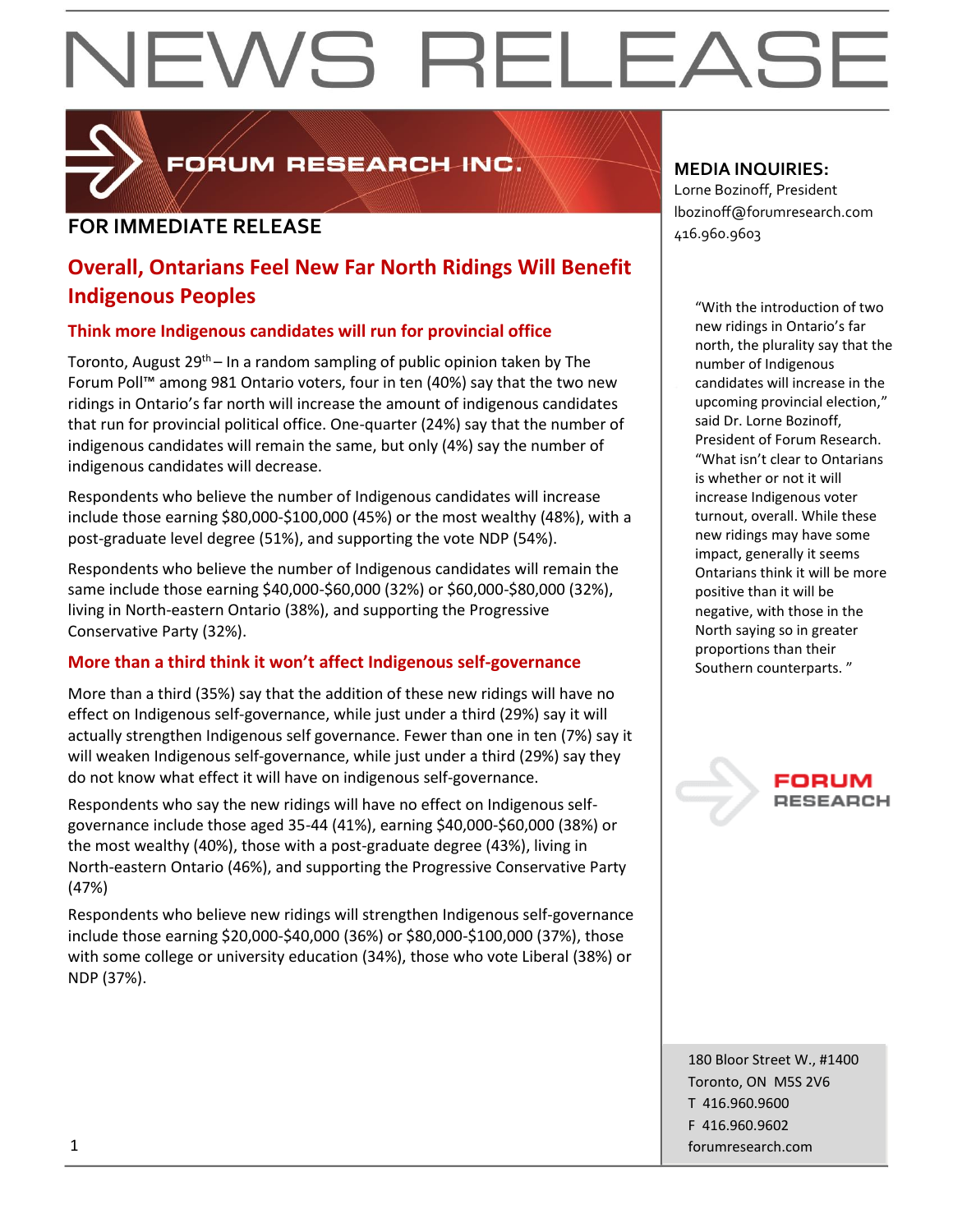

FORUM RESEARCH INC.

### **FOR IMMEDIATE RELEASE**  $\begin{bmatrix} 1.52 \ 416.960.9603 \end{bmatrix}$

#### **Overall, Ontarians Feel New Far North Ridings Will Benefit Indigenous Peoples**

#### **Think more Indigenous candidates will run for provincial office**

Toronto, August 29<sup>th</sup> – In a random sampling of public opinion taken by The Forum Poll™ among 981 Ontario voters, four in ten (40%) say that the two new ridings in Ontario's far north will increase the amount of indigenous candidates that run for provincial political office. One-quarter (24%) say that the number of indigenous candidates will remain the same, but only (4%) say the number of indigenous candidates will decrease.

Respondents who believe the number of Indigenous candidates will increase include those earning \$80,000-\$100,000 (45%) or the most wealthy (48%), with a post-graduate level degree (51%), and supporting the vote NDP (54%).

Respondents who believe the number of Indigenous candidates will remain the same include those earning \$40,000-\$60,000 (32%) or \$60,000-\$80,000 (32%), living in North-eastern Ontario (38%), and supporting the Progressive Conservative Party (32%).

#### **More than a third think it won't affect Indigenous self-governance**

More than a third (35%) say that the addition of these new ridings will have no effect on Indigenous self-governance, while just under a third (29%) say it will actually strengthen Indigenous self governance. Fewer than one in ten (7%) say it will weaken Indigenous self-governance, while just under a third (29%) say they do not know what effect it will have on indigenous self-governance.

Respondents who say the new ridings will have no effect on Indigenous selfgovernance include those aged 35-44 (41%), earning \$40,000-\$60,000 (38%) or the most wealthy (40%), those with a post-graduate degree (43%), living in North-eastern Ontario (46%), and supporting the Progressive Conservative Party (47%)

Respondents who believe new ridings will strengthen Indigenous self-governance include those earning \$20,000-\$40,000 (36%) or \$80,000-\$100,000 (37%), those with some college or university education (34%), those who vote Liberal (38%) or NDP (37%).

#### **MEDIA INQUIRIES:**

Lorne Bozinoff, President lbozinoff@forumresearch.com

> "With the introduction of two new ridings in Ontario's far north, the plurality say that the number of Indigenous candidates will increase in the upcoming provincial election," said Dr. Lorne Bozinoff, President of Forum Research. "What isn't clear to Ontarians is whether or not it will increase Indigenous voter turnout, overall. While these new ridings may have some impact, generally it seems Ontarians think it will be more positive than it will be negative, with those in the North saying so in greater proportions than their Southern counterparts. "

> > FORUM **RESEARCH**

180 Bloor Street W., #1400 Toronto, ON M5S 2V6 T 416.960.9600 F 416.960.9602 1 forumresearch.com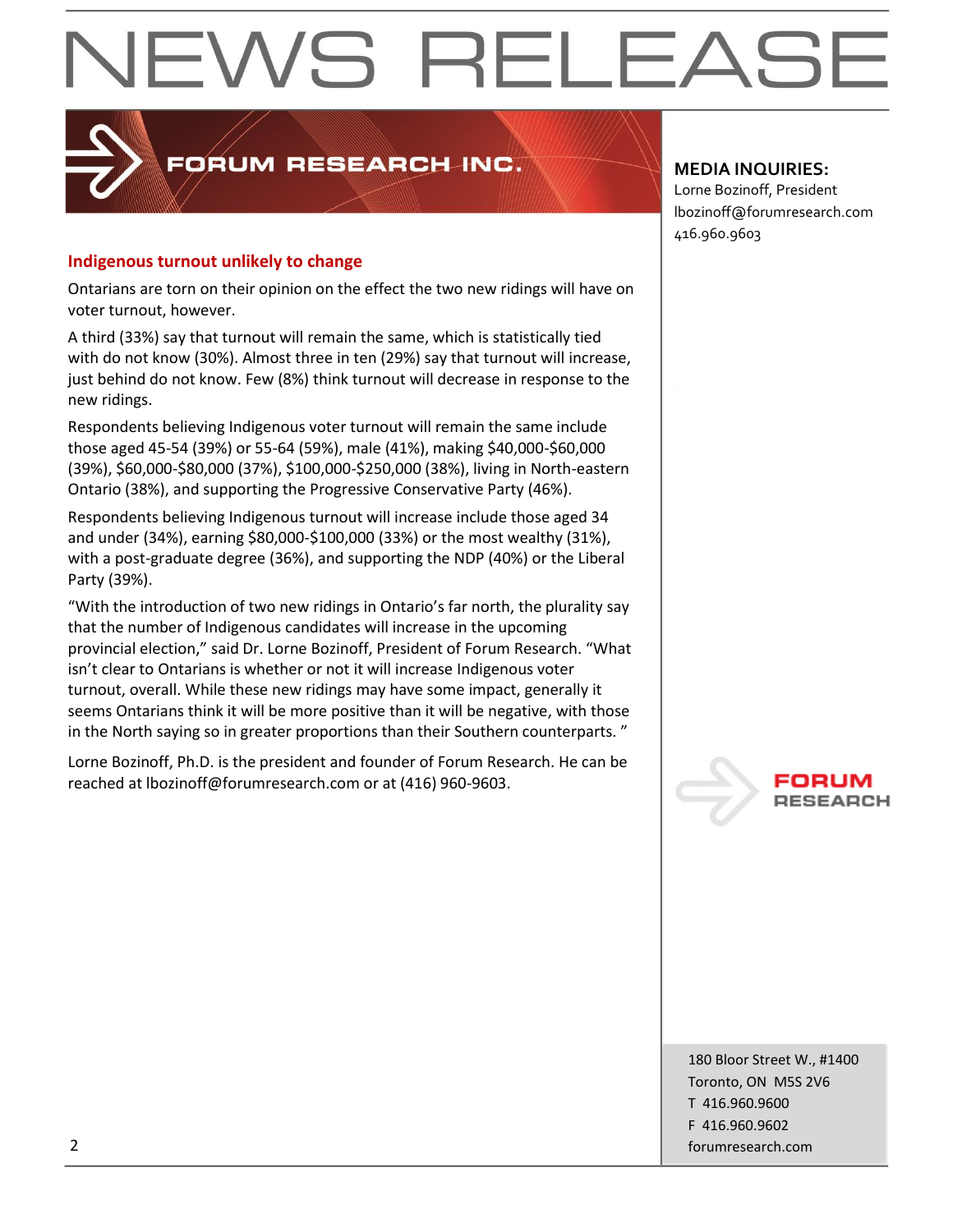### PORUM RESEARCH INC.

#### **Indigenous turnout unlikely to change**

Ontarians are torn on their opinion on the effect the two new ridings will have on voter turnout, however.

A third (33%) say that turnout will remain the same, which is statistically tied with do not know (30%). Almost three in ten (29%) say that turnout will increase, just behind do not know. Few (8%) think turnout will decrease in response to the new ridings.

Respondents believing Indigenous voter turnout will remain the same include those aged 45-54 (39%) or 55-64 (59%), male (41%), making \$40,000-\$60,000 (39%), \$60,000-\$80,000 (37%), \$100,000-\$250,000 (38%), living in North-eastern Ontario (38%), and supporting the Progressive Conservative Party (46%).

Respondents believing Indigenous turnout will increase include those aged 34 and under (34%), earning \$80,000-\$100,000 (33%) or the most wealthy (31%), with a post-graduate degree (36%), and supporting the NDP (40%) or the Liberal Party (39%).

"With the introduction of two new ridings in Ontario's far north, the plurality say that the number of Indigenous candidates will increase in the upcoming provincial election," said Dr. Lorne Bozinoff, President of Forum Research. "What isn't clear to Ontarians is whether or not it will increase Indigenous voter turnout, overall. While these new ridings may have some impact, generally it seems Ontarians think it will be more positive than it will be negative, with those in the North saying so in greater proportions than their Southern counterparts. "

Lorne Bozinoff, Ph.D. is the president and founder of Forum Research. He can be reached at lbozinoff@forumresearch.com or at (416) 960-9603.

#### **MEDIA INQUIRIES:**

Lorne Bozinoff, President lbozinoff@forumresearch.com 416.960.9603



180 Bloor Street W., #1400 Toronto, ON M5S 2V6 T 416.960.9600 F 416.960.9602 2 forumresearch.com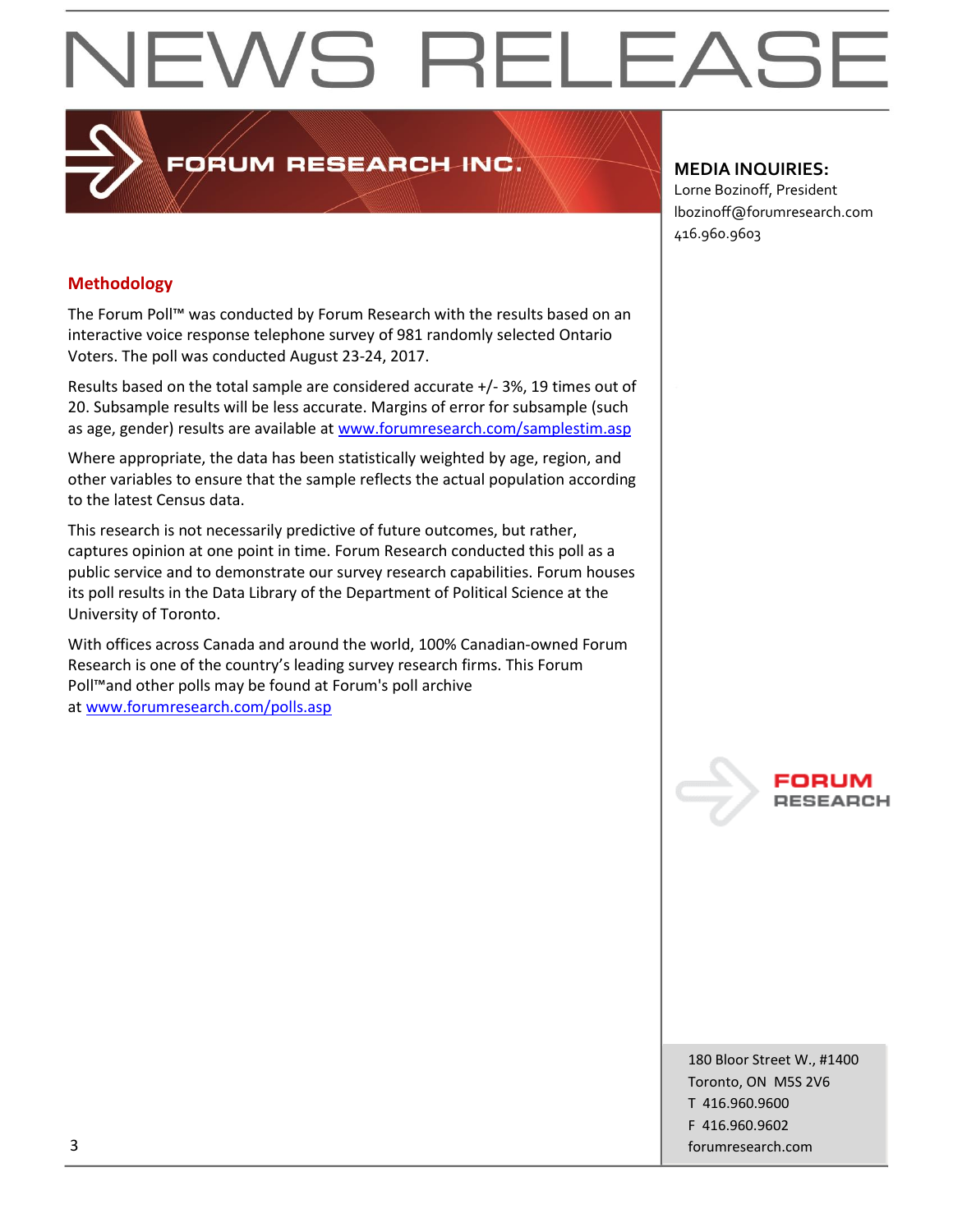### **PRUM RESEARCH INC.**

#### **MEDIA INQUIRIES:**

Lorne Bozinoff, President lbozinoff@forumresearch.com 416.960.9603

#### **Methodology**

The Forum Poll™ was conducted by Forum Research with the results based on an interactive voice response telephone survey of 981 randomly selected Ontario Voters. The poll was conducted August 23-24, 2017.

Results based on the total sample are considered accurate +/- 3%, 19 times out of 20. Subsample results will be less accurate. Margins of error for subsample (such as age, gender) results are available at [www.forumresearch.com/samplestim.asp](http://www.forumresearch.com/samplestim.asp)

Where appropriate, the data has been statistically weighted by age, region, and other variables to ensure that the sample reflects the actual population according to the latest Census data.

This research is not necessarily predictive of future outcomes, but rather, captures opinion at one point in time. Forum Research conducted this poll as a public service and to demonstrate our survey research capabilities. Forum houses its poll results in the Data Library of the Department of Political Science at the University of Toronto.

With offices across Canada and around the world, 100% Canadian-owned Forum Research is one of the country's leading survey research firms. This Forum Poll™and other polls may be found at Forum's poll archive at [www.forumresearch.com/polls.asp](http://www.forumresearch.com/polls.asp)



180 Bloor Street W., #1400 Toronto, ON M5S 2V6 T 416.960.9600 F 416.960.9602 3 forumresearch.com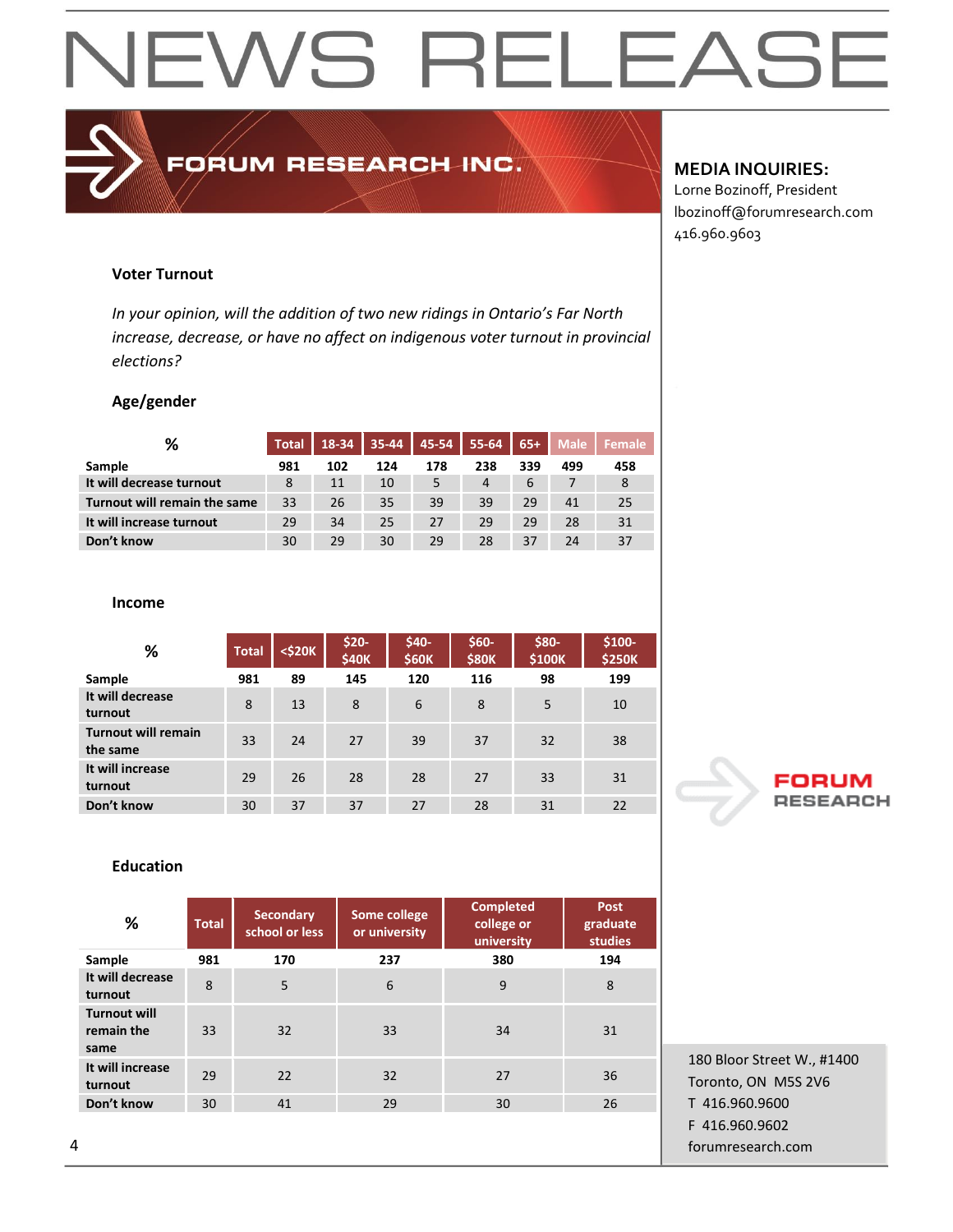FORUM RESEARCH INC.

#### **MEDIA INQUIRIES:**

Lorne Bozinoff, President lbozinoff@forumresearch.com 416.960.9603

#### **Voter Turnout**

*In your opinion, will the addition of two new ridings in Ontario's Far North increase, decrease, or have no affect on indigenous voter turnout in provincial elections?*

#### **Age/gender**

| %                            | <b>Total</b> | 18-34 | 35-44 | $45 - 54$ | 55-64 | $65+$ | <b>Male</b> | Female |
|------------------------------|--------------|-------|-------|-----------|-------|-------|-------------|--------|
| Sample                       | 981          | 102   | 124   | 178       | 238   | 339   | 499         | 458    |
| It will decrease turnout     | 8            | 11    | 10    | 5         | 4     | 6     |             | 8      |
| Turnout will remain the same | 33           | 26    | 35    | 39        | 39    | 29    | 41          | 25     |
| It will increase turnout     | 29           | 34    | 25    | 27        | 29    | 29    | 28          | 31     |
| Don't know                   | 30           | 29    | 30    | 29        | 28    | 37    | 24          | 37     |

#### **Income**

|                                        |              |        | \$20-        | \$40-        | $$60-$       | \$80-  | $$100-$       |
|----------------------------------------|--------------|--------|--------------|--------------|--------------|--------|---------------|
| %                                      | <b>Total</b> | <\$20K | <b>\$40K</b> | <b>\$60K</b> | <b>\$80K</b> | \$100K | <b>\$250K</b> |
| Sample                                 | 981          | 89     | 145          | 120          | 116          | 98     | 199           |
| It will decrease<br>turnout            | 8            | 13     | 8            | 6            | 8            | 5      | 10            |
| <b>Turnout will remain</b><br>the same | 33           | 24     | 27           | 39           | 37           | 32     | 38            |
| It will increase<br>turnout            | 29           | 26     | 28           | 28           | 27           | 33     | 31            |
| Don't know                             | 30           | 37     | 37           | 27           | 28           | 31     | 22            |

#### **Education**

| %                                         | <b>Total</b> | <b>Secondary</b><br>school or less | Some college<br>or university | <b>Completed</b><br>college or<br>university | <b>Post</b><br>graduate<br>studies |
|-------------------------------------------|--------------|------------------------------------|-------------------------------|----------------------------------------------|------------------------------------|
| Sample                                    | 981          | 170                                | 237                           | 380                                          | 194                                |
| It will decrease<br>turnout               | 8            | 5                                  | 6                             | 9                                            | 8                                  |
| <b>Turnout will</b><br>remain the<br>same | 33           | 32                                 | 33                            | 34                                           | 31                                 |
| It will increase<br>turnout               | 29           | 22                                 | 32                            | 27                                           | 36                                 |
| Don't know                                | 30           | 41                                 | 29                            | 30                                           | 26                                 |
|                                           |              |                                    |                               |                                              |                                    |



180 Bloor Street W., #1400 Toronto, ON M5S 2V6 T 416.960.9600 F 416.960.9602 4 forumresearch.com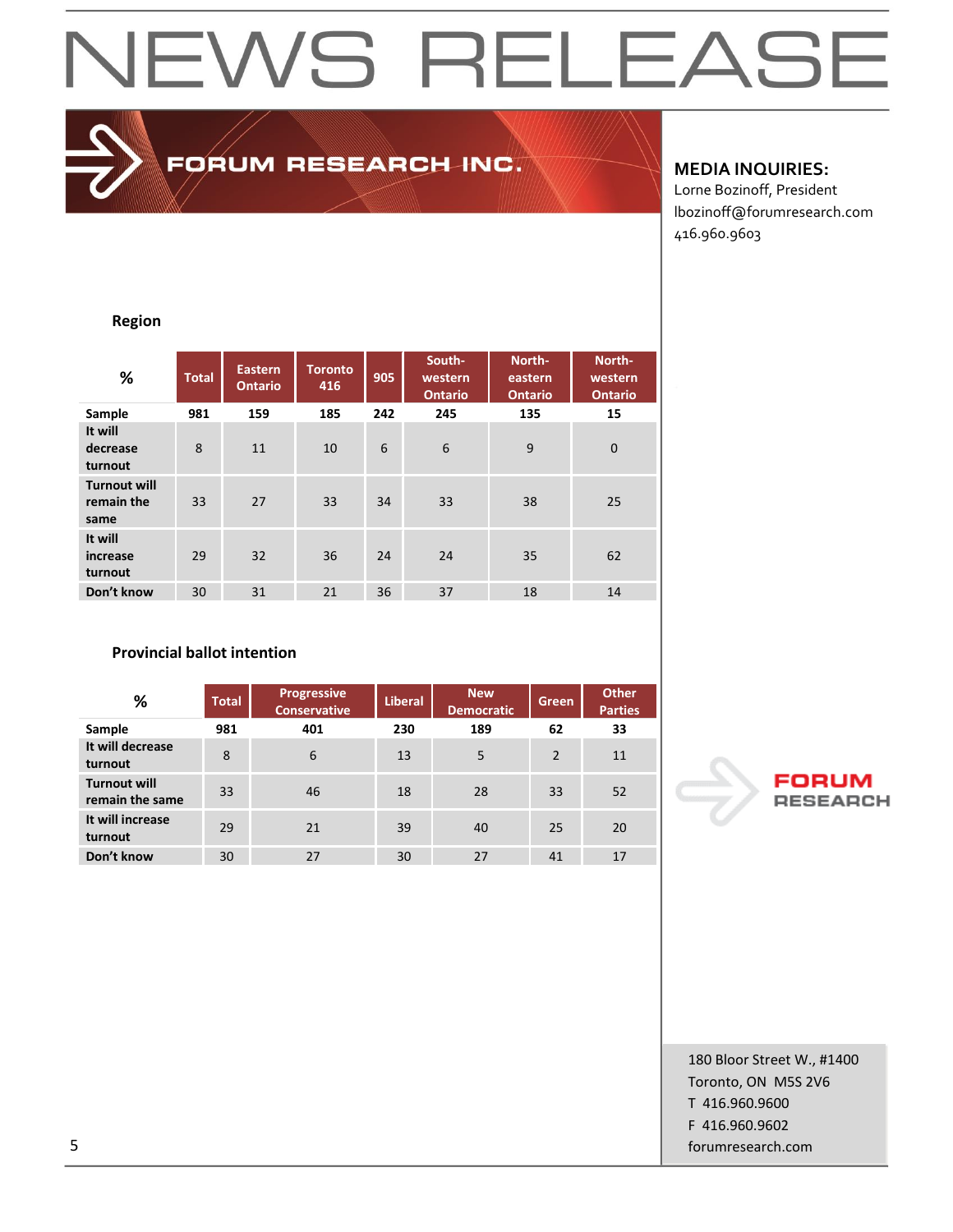FORUM RESEARCH INC.

#### **MEDIA INQUIRIES:**

Lorne Bozinoff, President lbozinoff@forumresearch.com 416.960.9603

#### **Region**

| %                                         | <b>Total</b> | <b>Eastern</b><br><b>Ontario</b> | <b>Toronto</b><br>416 | 905 | South-<br>western<br><b>Ontario</b> | North-<br>eastern<br><b>Ontario</b> | North-<br>western<br><b>Ontario</b> |
|-------------------------------------------|--------------|----------------------------------|-----------------------|-----|-------------------------------------|-------------------------------------|-------------------------------------|
| Sample                                    | 981          | 159                              | 185                   | 242 | 245                                 | 135                                 | 15                                  |
| It will<br>decrease<br>turnout            | 8            | 11                               | 10                    | 6   | $6\phantom{1}$                      | 9                                   | $\mathbf 0$                         |
| <b>Turnout will</b><br>remain the<br>same | 33           | 27                               | 33                    | 34  | 33                                  | 38                                  | 25                                  |
| It will<br>increase<br>turnout            | 29           | 32                               | 36                    | 24  | 24                                  | 35                                  | 62                                  |
| Don't know                                | 30           | 31                               | 21                    | 36  | 37                                  | 18                                  | 14                                  |

#### **Provincial ballot intention**

| %                                      | <b>Total</b> | <b>Progressive</b><br><b>Conservative</b> | <b>Liberal</b> | <b>New</b><br><b>Democratic</b> | Green          | <b>Other</b><br><b>Parties</b> |
|----------------------------------------|--------------|-------------------------------------------|----------------|---------------------------------|----------------|--------------------------------|
| Sample                                 | 981          | 401                                       | 230            | 189                             | 62             | 33                             |
| It will decrease<br>turnout            | 8            | 6                                         | 13             | 5                               | $\overline{2}$ | 11                             |
| <b>Turnout will</b><br>remain the same | 33           | 46                                        | 18             | 28                              | 33             | 52                             |
| It will increase<br>turnout            | 29           | 21                                        | 39             | 40                              | 25             | 20                             |
| Don't know                             | 30           | 27                                        | 30             | 27                              | 41             | 17                             |



180 Bloor Street W., #1400 Toronto, ON M5S 2V6 T 416.960.9600 F 416.960.9602 5 forumresearch.com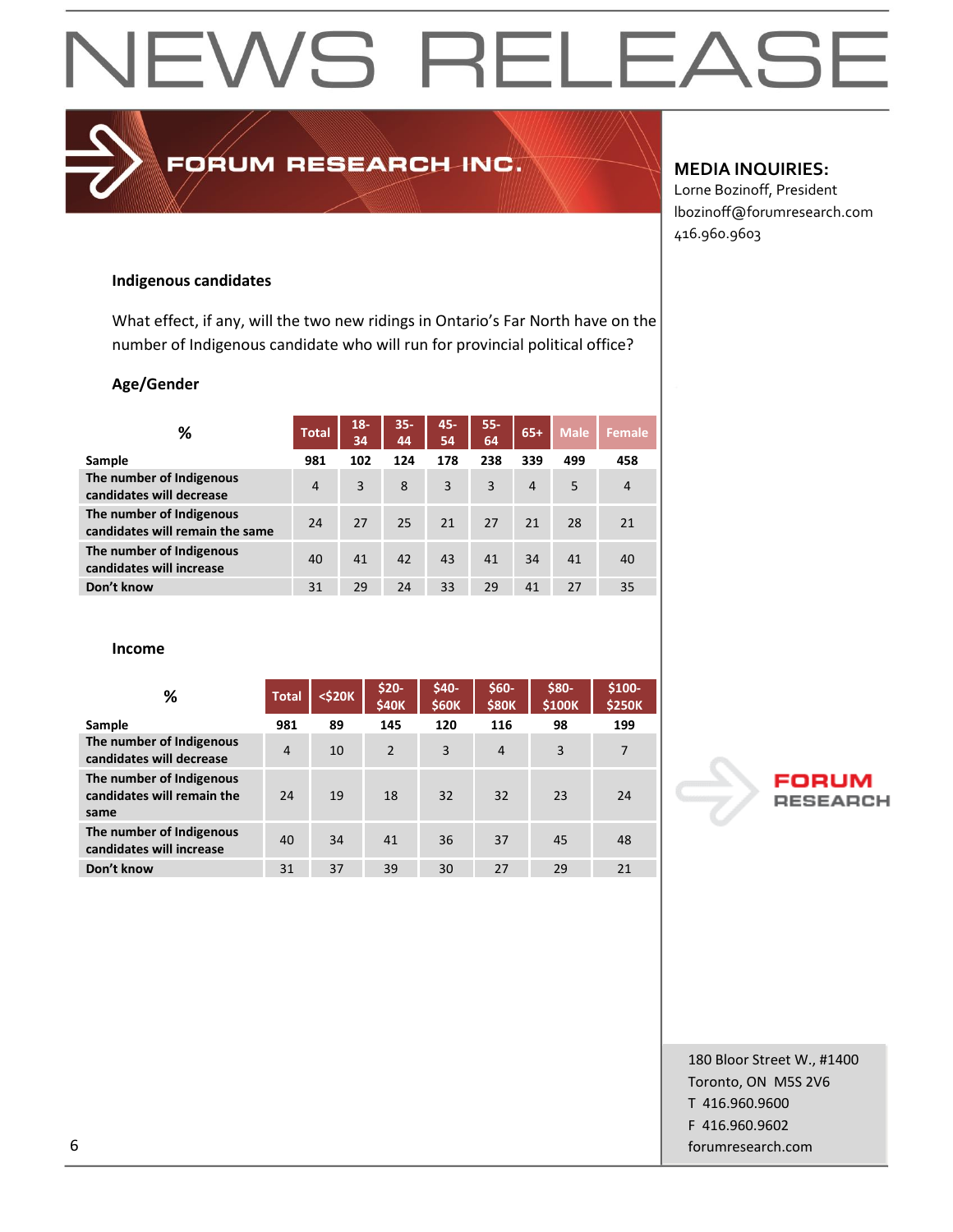### EWS RELEAS  $\blacktriangleleft$

### FORUM RESEARCH INC.

#### **MEDIA INQUIRIES:**

Lorne Bozinoff, President lbozinoff@forumresearch.com 416.960.9603

#### **Indigenous candidates**

What effect, if any, will the two new ridings in Ontario's Far North have on the number of Indigenous candidate who will run for provincial political office?

#### **Age/Gender**

| %                                                           | <b>Total</b> | $18 -$<br>34 | $35 -$<br>44 | 45-<br>54 | $55 -$<br>64 | $65+$ | <b>Male</b> | <b>Female</b>  |
|-------------------------------------------------------------|--------------|--------------|--------------|-----------|--------------|-------|-------------|----------------|
| Sample                                                      | 981          | 102          | 124          | 178       | 238          | 339   | 499         | 458            |
| The number of Indigenous<br>candidates will decrease        | 4            | 3            | 8            | 3         | 3            | 4     | 5           | $\overline{4}$ |
| The number of Indigenous<br>candidates will remain the same | 24           | 27           | 25           | 21        | 27           | 21    | 28          | 21             |
| The number of Indigenous<br>candidates will increase        | 40           | 41           | 42           | 43        | 41           | 34    | 41          | 40             |
| Don't know                                                  | 31           | 29           | 24           | 33        | 29           | 41    | 27          | 35             |

#### **Income**

| %                                                              | <b>Total</b>   | <\$20K | $$20-$<br><b>\$40K</b> | \$40-<br><b>\$60K</b> | $$60-$<br><b>\$80K</b> | \$80-<br>\$100K | \$100-<br><b>\$250K</b> |
|----------------------------------------------------------------|----------------|--------|------------------------|-----------------------|------------------------|-----------------|-------------------------|
| Sample                                                         | 981            | 89     | 145                    | 120                   | 116                    | 98              | 199                     |
| The number of Indigenous<br>candidates will decrease           | $\overline{4}$ | 10     | 2                      | 3                     | $\overline{4}$         | 3               | $\overline{7}$          |
| The number of Indigenous<br>candidates will remain the<br>same | 24             | 19     | 18                     | 32                    | 32                     | 23              | 24                      |
| The number of Indigenous<br>candidates will increase           | 40             | 34     | 41                     | 36                    | 37                     | 45              | 48                      |
| Don't know                                                     | 31             | 37     | 39                     | 30                    | 27                     | 29              | 21                      |

#### FORl **RESEARCH**

180 Bloor Street W., #1400 Toronto, ON M5S 2V6 T 416.960.9600 F 416.960.9602 6 forumresearch.com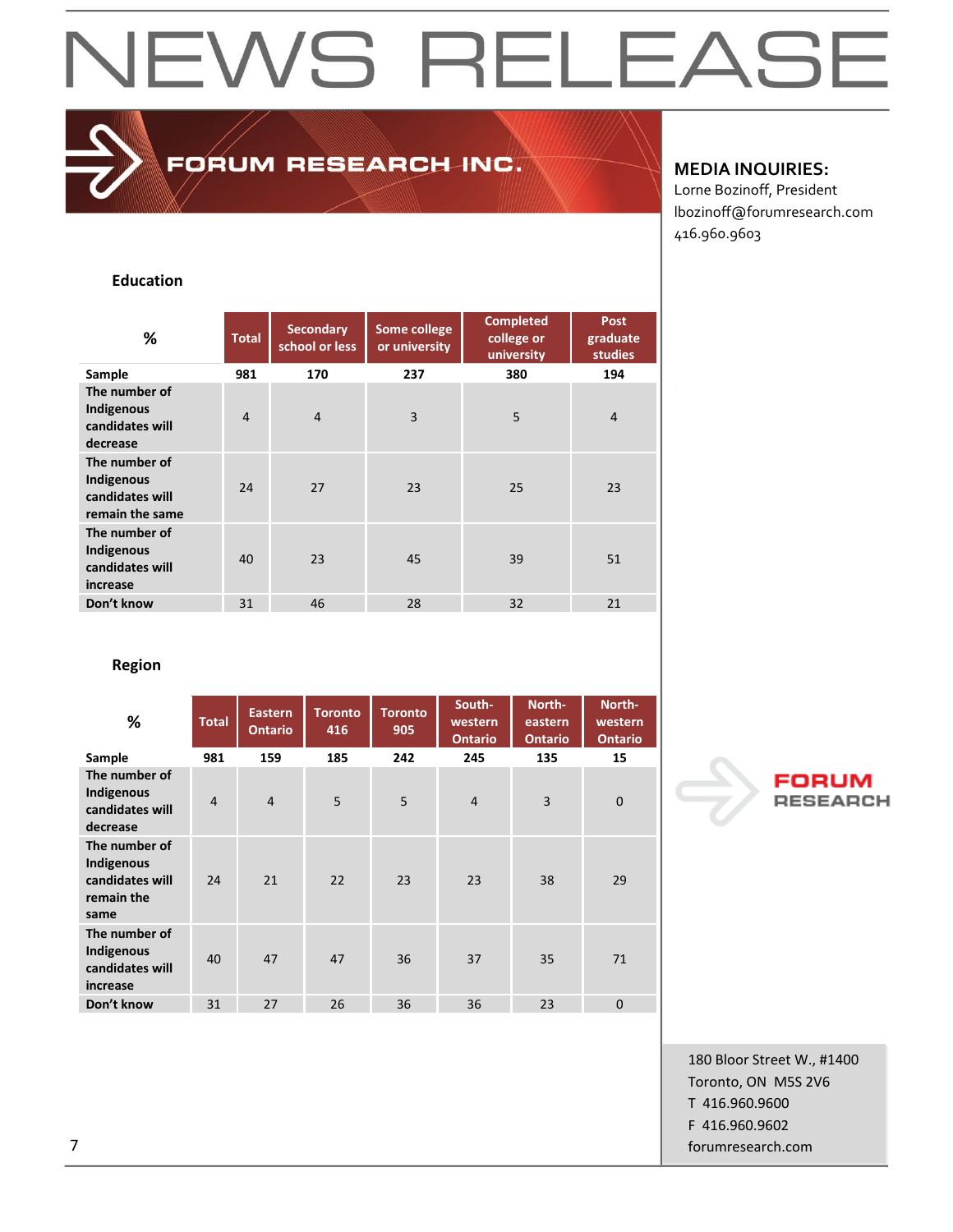FORUM RESEARCH INC.

#### **MEDIA INQUIRIES:**

Lorne Bozinoff, President lbozinoff@forumresearch.com 416.960.9603

#### **Education**

| ℅                                                                 | <b>Total</b>   | <b>Secondary</b><br>school or less | Some college<br>or university | <b>Completed</b><br>college or<br>university | <b>Post</b><br>graduate<br><b>studies</b> |
|-------------------------------------------------------------------|----------------|------------------------------------|-------------------------------|----------------------------------------------|-------------------------------------------|
| Sample                                                            | 981            | 170                                | 237                           | 380                                          | 194                                       |
| The number of<br>Indigenous<br>candidates will<br>decrease        | $\overline{4}$ | $\overline{4}$                     | 3                             | 5                                            | $\overline{4}$                            |
| The number of<br>Indigenous<br>candidates will<br>remain the same | 24             | 27                                 | 23                            | 25                                           | 23                                        |
| The number of<br>Indigenous<br>candidates will<br>increase        | 40             | 23                                 | 45                            | 39                                           | 51                                        |
| Don't know                                                        | 31             | 46                                 | 28                            | 32                                           | 21                                        |

**Region**

| %                                                                    | <b>Total</b>   | <b>Eastern</b><br><b>Ontario</b> | <b>Toronto</b><br>416 | <b>Toronto</b><br>905 | South-<br>western<br><b>Ontario</b> | North-<br>eastern<br><b>Ontario</b> | North-<br>western<br><b>Ontario</b> |
|----------------------------------------------------------------------|----------------|----------------------------------|-----------------------|-----------------------|-------------------------------------|-------------------------------------|-------------------------------------|
| Sample                                                               | 981            | 159                              | 185                   | 242                   | 245                                 | 135                                 | 15                                  |
| The number of<br>Indigenous<br>candidates will<br>decrease           | $\overline{4}$ | $\overline{4}$                   | 5                     | 5                     | $\overline{4}$                      | $\overline{3}$                      | $\overline{0}$                      |
| The number of<br>Indigenous<br>candidates will<br>remain the<br>same | 24             | 21                               | 22                    | 23                    | 23                                  | 38                                  | 29                                  |
| The number of<br>Indigenous<br>candidates will<br>increase           | 40             | 47                               | 47                    | 36                    | 37                                  | 35                                  | 71                                  |
| Don't know                                                           | 31             | 27                               | 26                    | 36                    | 36                                  | 23                                  | $\overline{0}$                      |



180 Bloor Street W., #1400 Toronto, ON M5S 2V6 T 416.960.9600 F 416.960.9602 7 forumresearch.com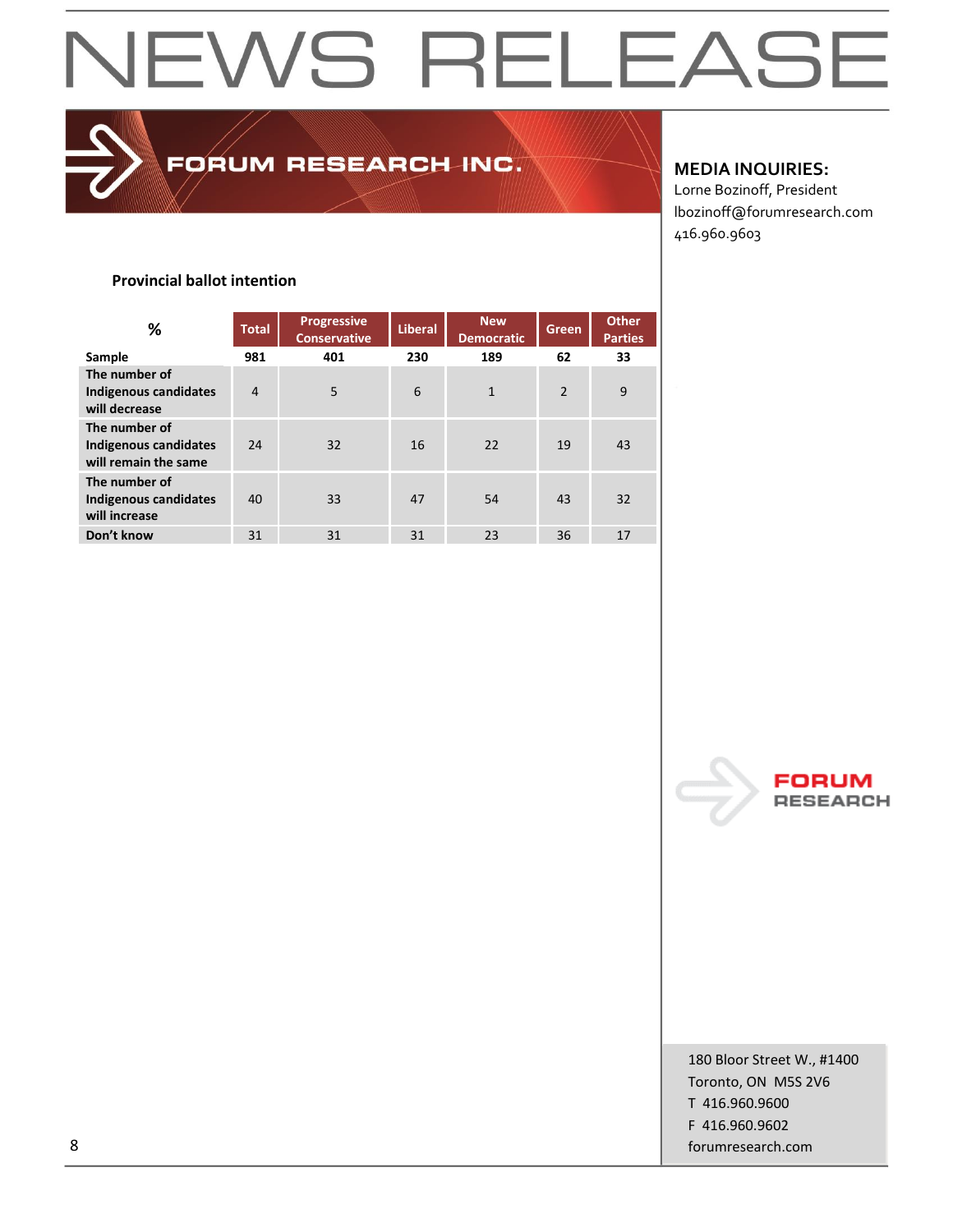FORUM RESEARCH INC.

#### **MEDIA INQUIRIES:**

Lorne Bozinoff, President lbozinoff@forumresearch.com 416.960.9603

#### **Provincial ballot intention**

| %                                                              | <b>Total</b>   | <b>Progressive</b><br><b>Conservative</b> | <b>Liberal</b> | <b>New</b><br><b>Democratic</b> | <b>Green</b>   | <b>Other</b><br><b>Parties</b> |
|----------------------------------------------------------------|----------------|-------------------------------------------|----------------|---------------------------------|----------------|--------------------------------|
| Sample                                                         | 981            | 401                                       | 230            | 189                             | 62             | 33                             |
| The number of<br>Indigenous candidates<br>will decrease        | $\overline{4}$ | 5                                         | 6              | $\mathbf{1}$                    | $\overline{2}$ | 9                              |
| The number of<br>Indigenous candidates<br>will remain the same | 24             | 32                                        | 16             | 22                              | 19             | 43                             |
| The number of<br><b>Indigenous candidates</b><br>will increase | 40             | 33                                        | 47             | 54                              | 43             | 32                             |
| Don't know                                                     | 31             | 31                                        | 31             | 23                              | 36             | 17                             |



180 Bloor Street W., #1400 Toronto, ON M5S 2V6 T 416.960.9600 F 416.960.9602 8 forumresearch.com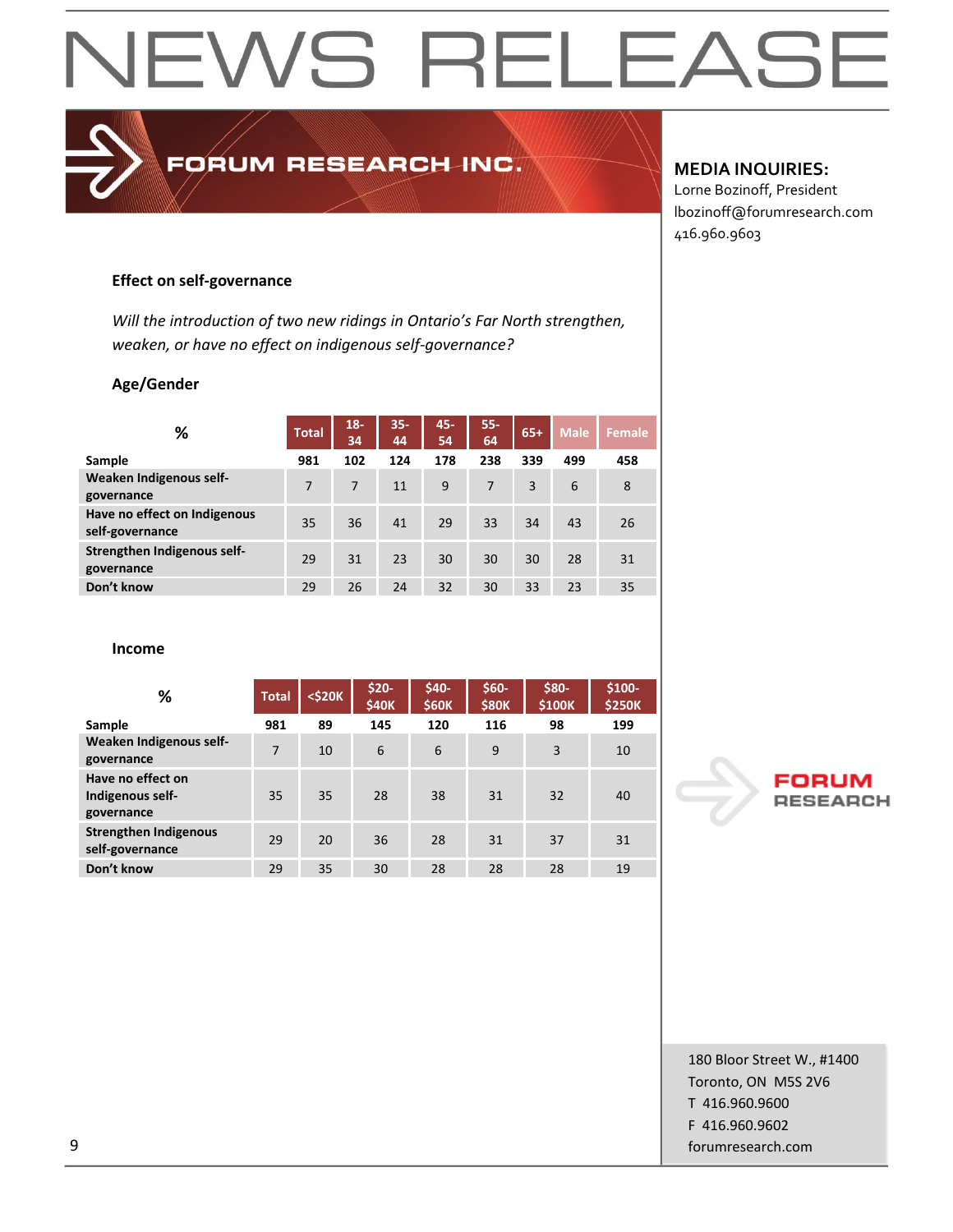### FORUM RESEARCH INC.

#### **MEDIA INQUIRIES:**

Lorne Bozinoff, President lbozinoff@forumresearch.com 416.960.9603

#### **Effect on self-governance**

*Will the introduction of two new ridings in Ontario's Far North strengthen, weaken, or have no effect on indigenous self-governance?*

#### **Age/Gender**

| %                                               | <b>Total</b> | $18 -$<br>34 | $35 -$<br>44 | 45-<br>54 | $55 -$<br>64 | $65+$ | <b>Male</b> | Female |
|-------------------------------------------------|--------------|--------------|--------------|-----------|--------------|-------|-------------|--------|
| Sample                                          | 981          | 102          | 124          | 178       | 238          | 339   | 499         | 458    |
| Weaken Indigenous self-<br>governance           | 7            | 7            | 11           | 9         | 7            | 3     | 6           | 8      |
| Have no effect on Indigenous<br>self-governance | 35           | 36           | 41           | 29        | 33           | 34    | 43          | 26     |
| Strengthen Indigenous self-<br>governance       | 29           | 31           | 23           | 30        | 30           | 30    | 28          | 31     |
| Don't know                                      | 29           | 26           | 24           | 32        | 30           | 33    | 23          | 35     |

**Income**

| %                                                   | <b>Total</b> | $<$ \$20 $K$ | $$20-$<br><b>\$40K</b> | \$40-<br>\$60K | $$60-$<br><b>\$80K</b> | \$80-<br>\$100K | $$100-$<br><b>\$250K</b> |
|-----------------------------------------------------|--------------|--------------|------------------------|----------------|------------------------|-----------------|--------------------------|
| Sample                                              | 981          | 89           | 145                    | 120            | 116                    | 98              | 199                      |
| Weaken Indigenous self-<br>governance               | 7            | 10           | 6                      | 6              | 9                      | 3               | 10                       |
| Have no effect on<br>Indigenous self-<br>governance | 35           | 35           | 28                     | 38             | 31                     | 32              | 40                       |
| <b>Strengthen Indigenous</b><br>self-governance     | 29           | 20           | 36                     | 28             | 31                     | 37              | 31                       |
| Don't know                                          | 29           | 35           | 30                     | 28             | 28                     | 28              | 19                       |

#### FORl **RESEARCH**

180 Bloor Street W., #1400 Toronto, ON M5S 2V6 T 416.960.9600 F 416.960.9602 9 forumresearch.com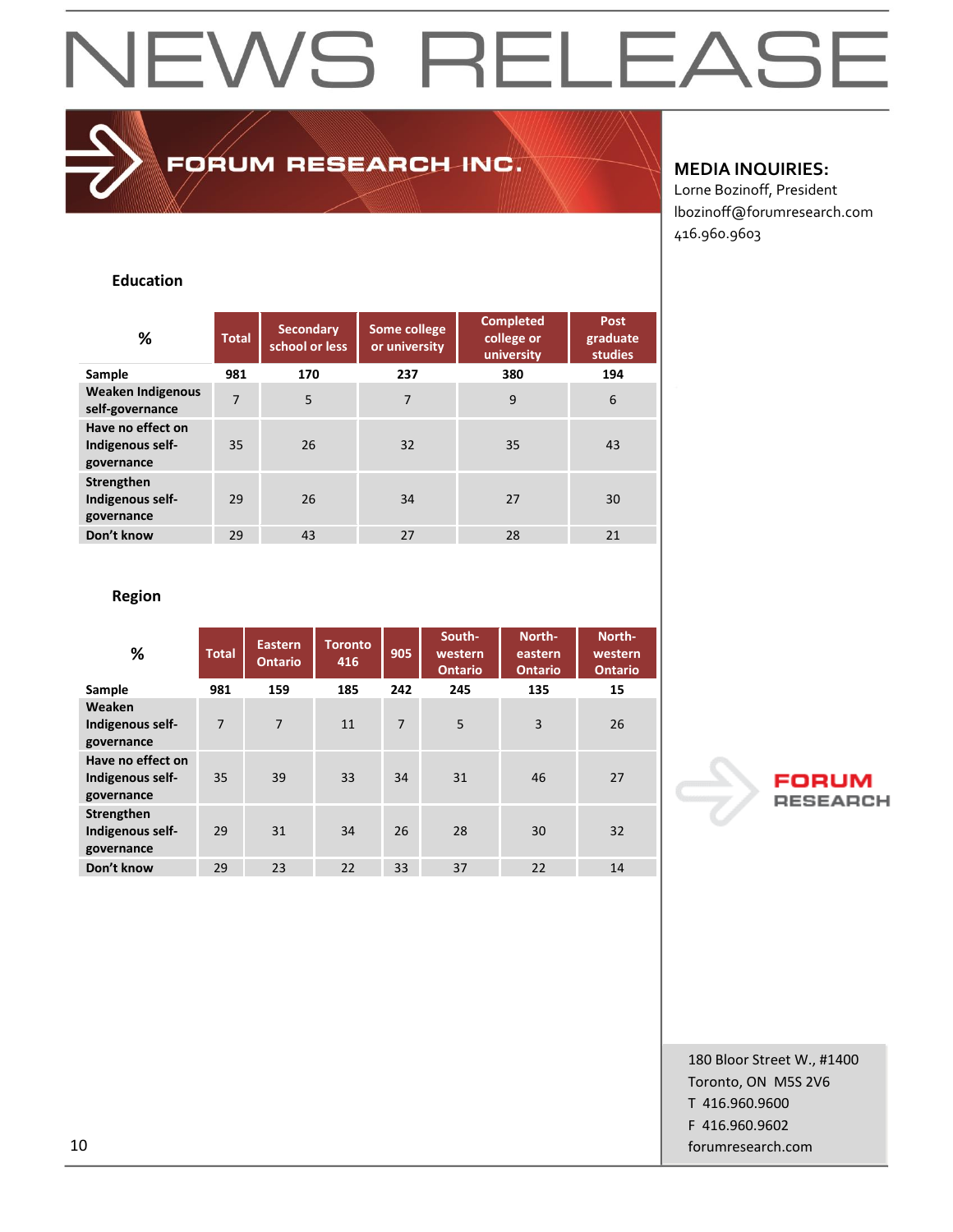### NEWS RELEAS  $\mathsf{i}\mathsf{H}$

FORUM RESEARCH INC.

#### **MEDIA INQUIRIES:**

Lorne Bozinoff, President lbozinoff@forumresearch.com 416.960.9603

#### **Education**

| %                                                   | <b>Total</b>   | <b>Secondary</b><br>school or less | Some college<br>or university | <b>Completed</b><br>college or<br>university | <b>Post</b><br>graduate<br><b>studies</b> |  |
|-----------------------------------------------------|----------------|------------------------------------|-------------------------------|----------------------------------------------|-------------------------------------------|--|
| Sample                                              | 981            | 170                                | 237                           | 380                                          | 194                                       |  |
| <b>Weaken Indigenous</b><br>self-governance         | $\overline{7}$ | 5                                  | 7                             | 9                                            | 6                                         |  |
| Have no effect on<br>Indigenous self-<br>governance | 35             | 26                                 | 32                            | 35                                           | 43                                        |  |
| Strengthen<br>Indigenous self-<br>governance        | 29             | 26                                 | 34                            | 27                                           | 30                                        |  |
| Don't know                                          | 29             | 43                                 | 27                            | 28                                           | 21                                        |  |

#### **Region**

| %                                                   | <b>Total</b> | Eastern<br><b>Ontario</b> | <b>Toronto</b><br>416 | 905            | South-<br>western<br><b>Ontario</b> | North-<br>eastern<br><b>Ontario</b> | North-<br>western<br><b>Ontario</b> |
|-----------------------------------------------------|--------------|---------------------------|-----------------------|----------------|-------------------------------------|-------------------------------------|-------------------------------------|
| Sample                                              | 981          | 159                       | 185                   | 242            | 245                                 | 135                                 | 15                                  |
| Weaken<br>Indigenous self-<br>governance            | 7            | $\overline{7}$            | 11                    | $\overline{7}$ | 5                                   | 3                                   | 26                                  |
| Have no effect on<br>Indigenous self-<br>governance | 35           | 39                        | 33                    | 34             | 31                                  | 46                                  | 27                                  |
| Strengthen<br>Indigenous self-<br>governance        | 29           | 31                        | 34                    | 26             | 28                                  | 30                                  | 32                                  |
| Don't know                                          | 29           | 23                        | 22                    | 33             | 37                                  | 22                                  | 14                                  |

#### FORl **RESEARCH**

180 Bloor Street W., #1400 Toronto, ON M5S 2V6 T 416.960.9600 F 416.960.9602 10 forumresearch.com